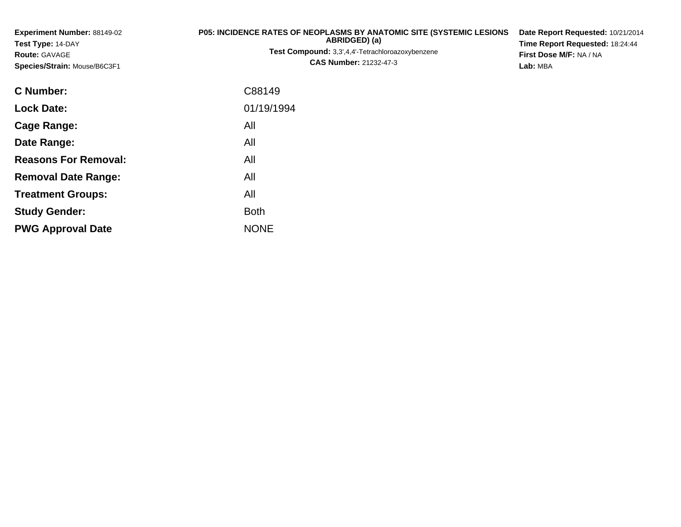| Experiment Number: 88149-02<br>Test Type: 14-DAY<br><b>Route: GAVAGE</b> | P05: INCIDENCE RATES OF NEOPLASMS BY ANATOMIC SITE (SYSTEMIC LESIONS<br>ABRIDGED) (a)<br><b>Test Compound:</b> 3,3',4,4'-Tetrachloroazoxybenzene | Date Report Requested: 10/21/2014<br>Time Report Requested: 18:24:44<br>First Dose M/F: NA / NA |  |  |  |  |
|--------------------------------------------------------------------------|--------------------------------------------------------------------------------------------------------------------------------------------------|-------------------------------------------------------------------------------------------------|--|--|--|--|
| Species/Strain: Mouse/B6C3F1                                             | <b>CAS Number: 21232-47-3</b>                                                                                                                    | Lab: MBA                                                                                        |  |  |  |  |
| <b>C</b> Number:                                                         | C88149                                                                                                                                           |                                                                                                 |  |  |  |  |
| <b>Lock Date:</b>                                                        | 01/19/1994                                                                                                                                       |                                                                                                 |  |  |  |  |
| Cage Range:                                                              | All                                                                                                                                              |                                                                                                 |  |  |  |  |
| Date Range:                                                              | All                                                                                                                                              |                                                                                                 |  |  |  |  |
| <b>Reasons For Removal:</b>                                              | All                                                                                                                                              |                                                                                                 |  |  |  |  |
| <b>Removal Date Range:</b>                                               | All                                                                                                                                              |                                                                                                 |  |  |  |  |
| <b>Treatment Groups:</b>                                                 | All                                                                                                                                              |                                                                                                 |  |  |  |  |
| <b>Study Gender:</b>                                                     | <b>Both</b>                                                                                                                                      |                                                                                                 |  |  |  |  |

e NONE

**PWG Approval Date**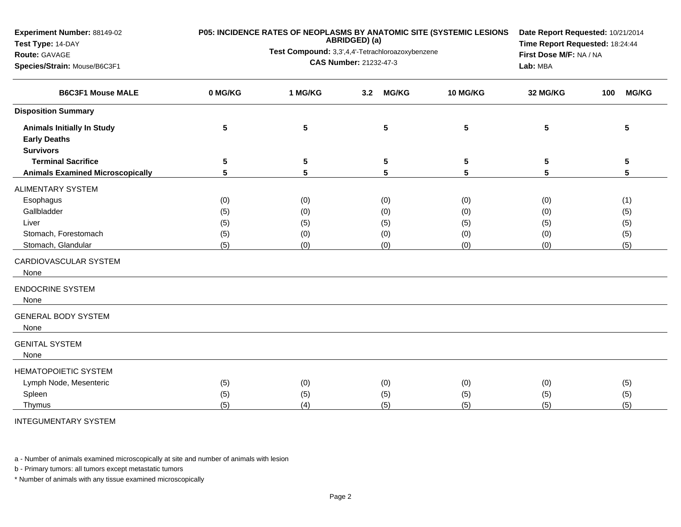| <b>Experiment Number: 88149-02</b><br>Test Type: 14-DAY<br>Route: GAVAGE<br>Species/Strain: Mouse/B6C3F1 |                                 | P05: INCIDENCE RATES OF NEOPLASMS BY ANATOMIC SITE (SYSTEMIC LESIONS<br>ABRIDGED) (a)<br>Test Compound: 3,3',4,4'-Tetrachloroazoxybenzene<br>CAS Number: 21232-47-3 | Date Report Requested: 10/21/2014<br>Time Report Requested: 18:24:44<br>First Dose M/F: NA / NA<br>Lab: MBA |                                 |                                 |                                 |
|----------------------------------------------------------------------------------------------------------|---------------------------------|---------------------------------------------------------------------------------------------------------------------------------------------------------------------|-------------------------------------------------------------------------------------------------------------|---------------------------------|---------------------------------|---------------------------------|
| <b>B6C3F1 Mouse MALE</b>                                                                                 | 0 MG/KG                         | 1 MG/KG                                                                                                                                                             | <b>MG/KG</b><br>3.2                                                                                         | 10 MG/KG                        | 32 MG/KG                        | 100<br><b>MG/KG</b>             |
| <b>Disposition Summary</b>                                                                               |                                 |                                                                                                                                                                     |                                                                                                             |                                 |                                 |                                 |
| <b>Animals Initially In Study</b><br><b>Early Deaths</b><br><b>Survivors</b>                             | $\overline{\mathbf{5}}$         | $5\phantom{.0}$                                                                                                                                                     | ${\bf 5}$                                                                                                   | 5                               | $5\phantom{.0}$                 | 5                               |
| <b>Terminal Sacrifice</b><br><b>Animals Examined Microscopically</b>                                     | 5<br>5                          | 5<br>5                                                                                                                                                              | $\sqrt{5}$<br>5                                                                                             | 5<br>5                          | 5<br>5                          | 5<br>5                          |
| ALIMENTARY SYSTEM<br>Esophagus<br>Gallbladder<br>Liver<br>Stomach, Forestomach<br>Stomach, Glandular     | (0)<br>(5)<br>(5)<br>(5)<br>(5) | (0)<br>(0)<br>(5)<br>(0)<br>(0)                                                                                                                                     | (0)<br>(0)<br>(5)<br>(0)<br>(0)                                                                             | (0)<br>(0)<br>(5)<br>(0)<br>(0) | (0)<br>(0)<br>(5)<br>(0)<br>(0) | (1)<br>(5)<br>(5)<br>(5)<br>(5) |
| CARDIOVASCULAR SYSTEM<br>None                                                                            |                                 |                                                                                                                                                                     |                                                                                                             |                                 |                                 |                                 |
| <b>ENDOCRINE SYSTEM</b><br>None                                                                          |                                 |                                                                                                                                                                     |                                                                                                             |                                 |                                 |                                 |
| <b>GENERAL BODY SYSTEM</b><br>None                                                                       |                                 |                                                                                                                                                                     |                                                                                                             |                                 |                                 |                                 |
| <b>GENITAL SYSTEM</b><br>None                                                                            |                                 |                                                                                                                                                                     |                                                                                                             |                                 |                                 |                                 |
| <b>HEMATOPOIETIC SYSTEM</b><br>Lymph Node, Mesenteric<br>Spleen<br>Thymus                                | (5)<br>(5)<br>(5)               | (0)<br>(5)<br>(4)                                                                                                                                                   | (0)<br>(5)<br>(5)                                                                                           | (0)<br>(5)<br>(5)               | (0)<br>(5)<br>(5)               | (5)<br>(5)<br>(5)               |

INTEGUMENTARY SYSTEM

a - Number of animals examined microscopically at site and number of animals with lesion

b - Primary tumors: all tumors except metastatic tumors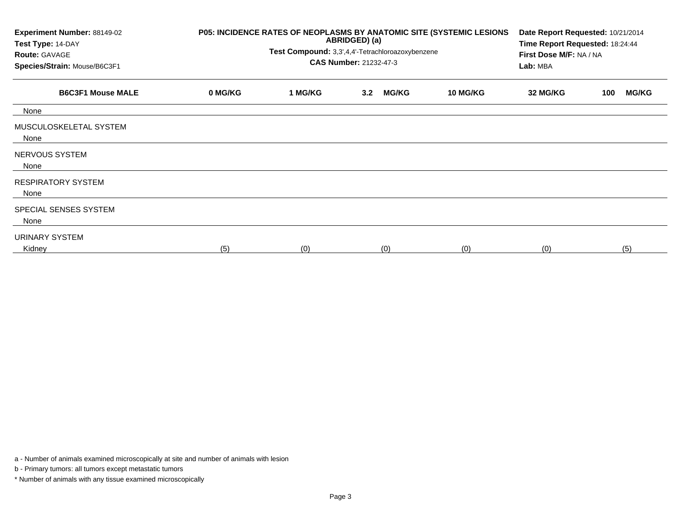| Experiment Number: 88149-02<br>Test Type: 14-DAY<br><b>Route: GAVAGE</b><br>Species/Strain: Mouse/B6C3F1 |         | P05: INCIDENCE RATES OF NEOPLASMS BY ANATOMIC SITE (SYSTEMIC LESIONS<br>Date Report Requested: 10/21/2014<br>ABRIDGED) (a)<br>Time Report Requested: 18:24:44<br>Test Compound: 3,3',4,4'-Tetrachloroazoxybenzene<br>First Dose M/F: NA / NA<br><b>CAS Number: 21232-47-3</b><br>Lab: MBA |                                  |                 |          |                     |
|----------------------------------------------------------------------------------------------------------|---------|-------------------------------------------------------------------------------------------------------------------------------------------------------------------------------------------------------------------------------------------------------------------------------------------|----------------------------------|-----------------|----------|---------------------|
| <b>B6C3F1 Mouse MALE</b>                                                                                 | 0 MG/KG | 1 MG/KG                                                                                                                                                                                                                                                                                   | <b>MG/KG</b><br>3.2 <sub>2</sub> | <b>10 MG/KG</b> | 32 MG/KG | <b>MG/KG</b><br>100 |
| None                                                                                                     |         |                                                                                                                                                                                                                                                                                           |                                  |                 |          |                     |
| MUSCULOSKELETAL SYSTEM<br>None                                                                           |         |                                                                                                                                                                                                                                                                                           |                                  |                 |          |                     |
| NERVOUS SYSTEM<br>None                                                                                   |         |                                                                                                                                                                                                                                                                                           |                                  |                 |          |                     |
| <b>RESPIRATORY SYSTEM</b><br>None                                                                        |         |                                                                                                                                                                                                                                                                                           |                                  |                 |          |                     |
| SPECIAL SENSES SYSTEM<br>None                                                                            |         |                                                                                                                                                                                                                                                                                           |                                  |                 |          |                     |
| URINARY SYSTEM<br>Kidney                                                                                 | (5)     | (0)                                                                                                                                                                                                                                                                                       | (0)                              | (0)             | (0)      | (5)                 |

a - Number of animals examined microscopically at site and number of animals with lesion

b - Primary tumors: all tumors except metastatic tumors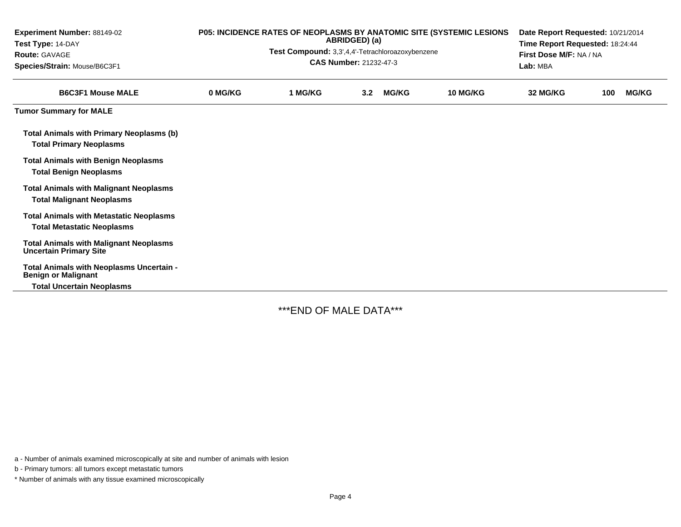| Experiment Number: 88149-02<br>Test Type: 14-DAY<br><b>Route: GAVAGE</b><br>Species/Strain: Mouse/B6C3F1   | P05: INCIDENCE RATES OF NEOPLASMS BY ANATOMIC SITE (SYSTEMIC LESIONS<br>ABRIDGED) (a)<br>Test Compound: 3,3',4,4'-Tetrachloroazoxybenzene<br><b>CAS Number: 21232-47-3</b> |         |                  |              |          | Date Report Requested: 10/21/2014<br>Time Report Requested: 18:24:44<br>First Dose M/F: NA / NA<br>Lab: MBA |     |              |  |
|------------------------------------------------------------------------------------------------------------|----------------------------------------------------------------------------------------------------------------------------------------------------------------------------|---------|------------------|--------------|----------|-------------------------------------------------------------------------------------------------------------|-----|--------------|--|
| <b>B6C3F1 Mouse MALE</b>                                                                                   | 0 MG/KG                                                                                                                                                                    | 1 MG/KG | 3.2 <sub>2</sub> | <b>MG/KG</b> | 10 MG/KG | 32 MG/KG                                                                                                    | 100 | <b>MG/KG</b> |  |
| <b>Tumor Summary for MALE</b>                                                                              |                                                                                                                                                                            |         |                  |              |          |                                                                                                             |     |              |  |
| <b>Total Animals with Primary Neoplasms (b)</b><br><b>Total Primary Neoplasms</b>                          |                                                                                                                                                                            |         |                  |              |          |                                                                                                             |     |              |  |
| <b>Total Animals with Benign Neoplasms</b><br><b>Total Benign Neoplasms</b>                                |                                                                                                                                                                            |         |                  |              |          |                                                                                                             |     |              |  |
| <b>Total Animals with Malignant Neoplasms</b><br><b>Total Malignant Neoplasms</b>                          |                                                                                                                                                                            |         |                  |              |          |                                                                                                             |     |              |  |
| <b>Total Animals with Metastatic Neoplasms</b><br><b>Total Metastatic Neoplasms</b>                        |                                                                                                                                                                            |         |                  |              |          |                                                                                                             |     |              |  |
| <b>Total Animals with Malignant Neoplasms</b><br><b>Uncertain Primary Site</b>                             |                                                                                                                                                                            |         |                  |              |          |                                                                                                             |     |              |  |
| Total Animals with Neoplasms Uncertain -<br><b>Benign or Malignant</b><br><b>Total Uncertain Neoplasms</b> |                                                                                                                                                                            |         |                  |              |          |                                                                                                             |     |              |  |

\*\*\*END OF MALE DATA\*\*\*

a - Number of animals examined microscopically at site and number of animals with lesion

b - Primary tumors: all tumors except metastatic tumors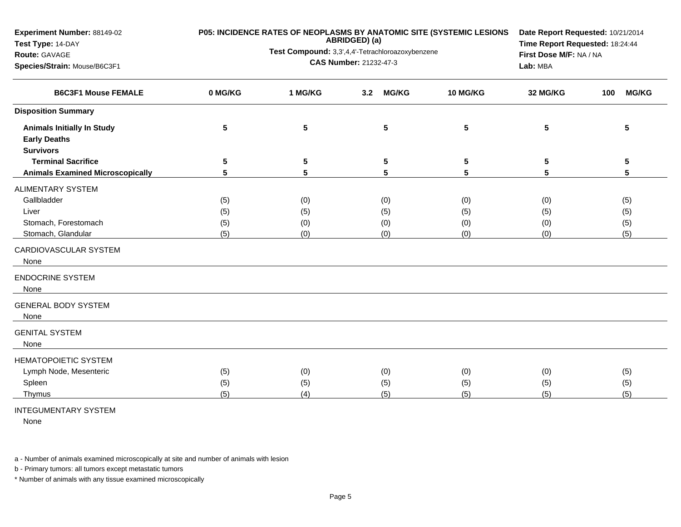| <b>Experiment Number: 88149-02</b><br>Test Type: 14-DAY<br>Route: GAVAGE<br>Species/Strain: Mouse/B6C3F1                        |                          | <b>P05: INCIDENCE RATES OF NEOPLASMS BY ANATOMIC SITE (SYSTEMIC LESIONS</b><br>ABRIDGED) (a)<br>Test Compound: 3,3',4,4'-Tetrachloroazoxybenzene<br>CAS Number: 21232-47-3 | Date Report Requested: 10/21/2014<br>Time Report Requested: 18:24:44<br>First Dose M/F: NA / NA<br>Lab: MBA |                          |                          |                          |
|---------------------------------------------------------------------------------------------------------------------------------|--------------------------|----------------------------------------------------------------------------------------------------------------------------------------------------------------------------|-------------------------------------------------------------------------------------------------------------|--------------------------|--------------------------|--------------------------|
| <b>B6C3F1 Mouse FEMALE</b>                                                                                                      | 0 MG/KG                  | 1 MG/KG                                                                                                                                                                    | <b>MG/KG</b><br>3.2                                                                                         | 10 MG/KG                 | 32 MG/KG                 | <b>MG/KG</b><br>100      |
| <b>Disposition Summary</b>                                                                                                      |                          |                                                                                                                                                                            |                                                                                                             |                          |                          |                          |
| <b>Animals Initially In Study</b><br><b>Early Deaths</b>                                                                        | 5                        | 5                                                                                                                                                                          | 5                                                                                                           | 5                        | 5                        | 5                        |
| <b>Survivors</b><br><b>Terminal Sacrifice</b><br><b>Animals Examined Microscopically</b>                                        | 5<br>5                   | 5<br>5                                                                                                                                                                     | 5<br>5                                                                                                      | 5<br>5                   | 5<br>5                   | 5<br>5                   |
| <b>ALIMENTARY SYSTEM</b><br>Gallbladder<br>Liver<br>Stomach, Forestomach<br>Stomach, Glandular<br>CARDIOVASCULAR SYSTEM<br>None | (5)<br>(5)<br>(5)<br>(5) | (0)<br>(5)<br>(0)<br>(0)                                                                                                                                                   | (0)<br>(5)<br>(0)<br>(0)                                                                                    | (0)<br>(5)<br>(0)<br>(0) | (0)<br>(5)<br>(0)<br>(0) | (5)<br>(5)<br>(5)<br>(5) |
| <b>ENDOCRINE SYSTEM</b><br>None                                                                                                 |                          |                                                                                                                                                                            |                                                                                                             |                          |                          |                          |
| <b>GENERAL BODY SYSTEM</b><br>None                                                                                              |                          |                                                                                                                                                                            |                                                                                                             |                          |                          |                          |
| <b>GENITAL SYSTEM</b><br>None                                                                                                   |                          |                                                                                                                                                                            |                                                                                                             |                          |                          |                          |
| <b>HEMATOPOIETIC SYSTEM</b><br>Lymph Node, Mesenteric<br>Spleen<br>Thymus                                                       | (5)<br>(5)<br>(5)        | (0)<br>(5)<br>(4)                                                                                                                                                          | (0)<br>(5)<br>(5)                                                                                           | (0)<br>(5)<br>(5)        | (0)<br>(5)<br>(5)        | (5)<br>(5)<br>(5)        |

## INTEGUMENTARY SYSTEM

None

a - Number of animals examined microscopically at site and number of animals with lesion

b - Primary tumors: all tumors except metastatic tumors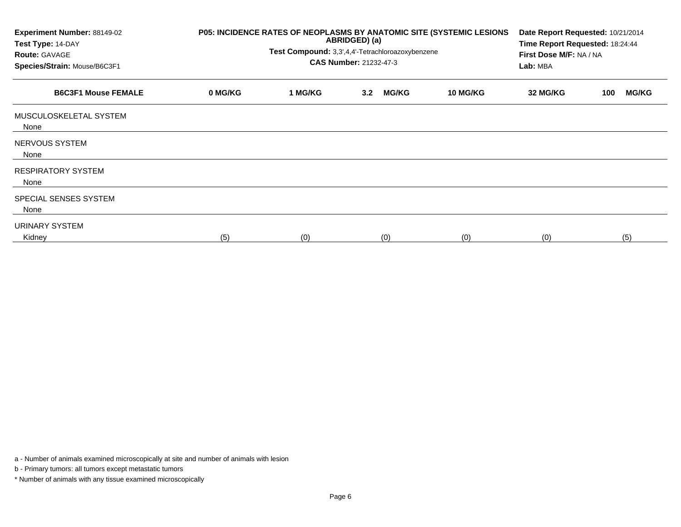| Experiment Number: 88149-02<br>Test Type: 14-DAY<br><b>Route: GAVAGE</b><br>Species/Strain: Mouse/B6C3F1 | P05: INCIDENCE RATES OF NEOPLASMS BY ANATOMIC SITE (SYSTEMIC LESIONS<br>ABRIDGED) (a)<br>Test Compound: 3,3',4,4'-Tetrachloroazoxybenzene<br><b>CAS Number: 21232-47-3</b> |         |     |              |                 | Date Report Requested: 10/21/2014<br>Time Report Requested: 18:24:44<br>First Dose M/F: NA / NA<br>Lab: MBA |     |              |
|----------------------------------------------------------------------------------------------------------|----------------------------------------------------------------------------------------------------------------------------------------------------------------------------|---------|-----|--------------|-----------------|-------------------------------------------------------------------------------------------------------------|-----|--------------|
| <b>B6C3F1 Mouse FEMALE</b>                                                                               | 0 MG/KG                                                                                                                                                                    | 1 MG/KG | 3.2 | <b>MG/KG</b> | <b>10 MG/KG</b> | 32 MG/KG                                                                                                    | 100 | <b>MG/KG</b> |
| MUSCULOSKELETAL SYSTEM<br>None                                                                           |                                                                                                                                                                            |         |     |              |                 |                                                                                                             |     |              |
| NERVOUS SYSTEM<br>None                                                                                   |                                                                                                                                                                            |         |     |              |                 |                                                                                                             |     |              |
| <b>RESPIRATORY SYSTEM</b><br>None                                                                        |                                                                                                                                                                            |         |     |              |                 |                                                                                                             |     |              |
| SPECIAL SENSES SYSTEM<br>None                                                                            |                                                                                                                                                                            |         |     |              |                 |                                                                                                             |     |              |
| URINARY SYSTEM<br>Kidney                                                                                 | (5)                                                                                                                                                                        | (0)     |     | (0)          | (0)             | (0)                                                                                                         |     | (5)          |

a - Number of animals examined microscopically at site and number of animals with lesion

b - Primary tumors: all tumors except metastatic tumors